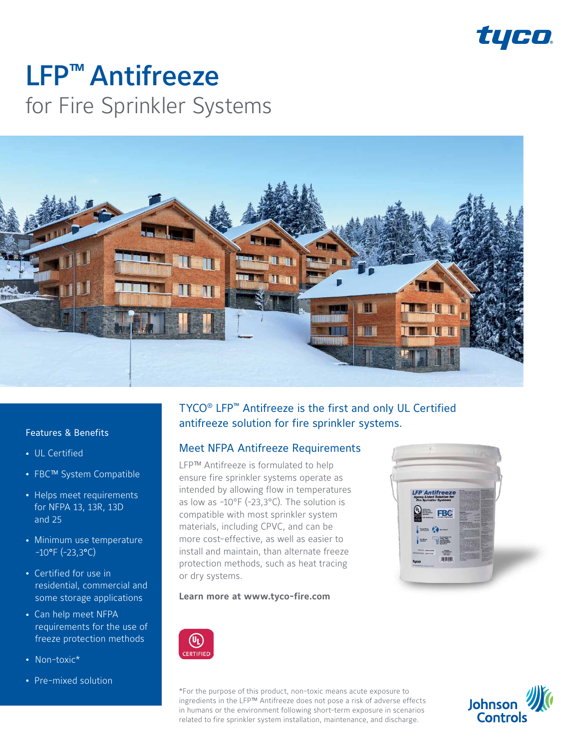

# LFP™ Antifreeze for Fire Sprinkler Systems



#### Features & Benefits

- UL Certified
- FBC™ System Compatible
- Helps meet requirements for NFPA 13, 13R, 13D and 25
- Minimum use temperature  $-10^{\circ}$ F (-23,3°C)
- Certified for use in residential, commercial and some storage applications
- Can help meet NFPA requirements for the use of freeze protection methods
- Non-toxic\*
- Pre-mixed solution

# TYCO® LFP™ Antifreeze is the first and only UL Certified antifreeze solution for fire sprinkler systems.

### Meet NFPA Antifreeze Requirements

LFP™ Antifreeze is formulated to help ensure fire sprinkler systems operate as intended by allowing flow in temperatures as low as -10°F (-23,3°C). The solution is compatible with most sprinkler system materials, including CPVC, and can be more cost-effective, as well as easier to install and maintain, than alternate freeze protection methods, such as heat tracing or dry systems.



#### **Learn more at www.tyco-fire.com**



\*For the purpose of this product, non-toxic means acute exposure to ingredients in the LFP™ Antifreeze does not pose a risk of adverse effects in humans or the environment following short-term exposure in scenarios related to fire sprinkler system installation, maintenance, and discharge.